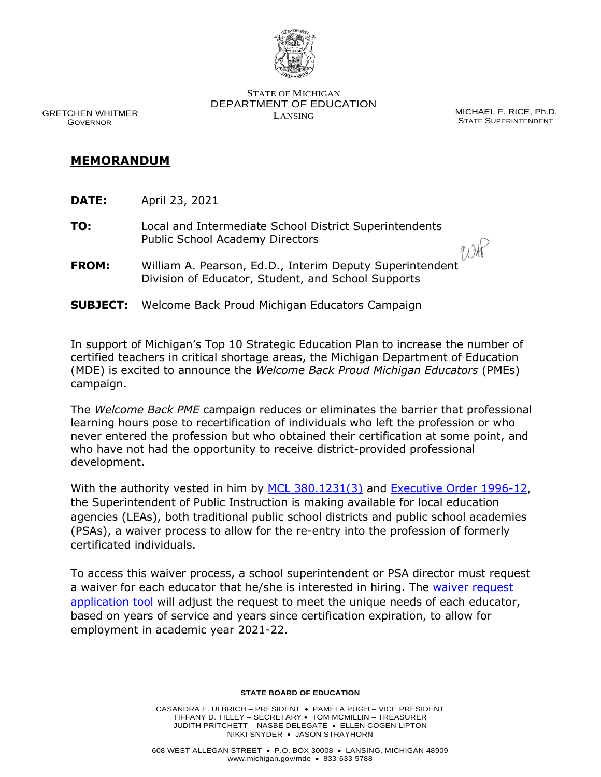

 GRETCHEN WHITMER GOVERNOR

STATE OF MICHIGAN DEPARTMENT OF EDUCATION LANSING MICHAEL F. RICE, Ph.D.

STATE SUPERINTENDENT

# **MEMORANDUM**

- **DATE:** April 23, 2021
- **TO:** Local and Intermediate School District Superintendents Public School Academy Directors
- 9 OHP **FROM:** William A. Pearson, Ed.D., Interim Deputy Superintendent Division of Educator, Student, and School Supports
- **SUBJECT:** Welcome Back Proud Michigan Educators Campaign

In support of Michigan's Top 10 Strategic Education Plan to increase the number of certified teachers in critical shortage areas, the Michigan Department of Education (MDE) is excited to announce the *Welcome Back Proud Michigan Educators* (PMEs) campaign.

The *Welcome Back PME* campaign reduces or eliminates the barrier that professional learning hours pose to recertification of individuals who left the profession or who never entered the profession but who obtained their certification at some point, and who have not had the opportunity to receive district-provided professional development.

With the authority vested in him by [MCL 380.1231\(3\)](http://www.legislature.mi.gov/(S(e4k30xxlmiawkn21mtqpht5d))/mileg.aspx?page=getObject&objectName=mcl-380-1281&highlight=revised%20school%20code) and [Executive Order 1996-12,](http://www.legislature.mi.gov/documents/1995-1996/executiveorder/htm/1996-EO-12.htm) the Superintendent of Public Instruction is making available for local education agencies (LEAs), both traditional public school districts and public school academies (PSAs), a waiver process to allow for the re-entry into the profession of formerly certificated individuals.

To access this waiver process, a school superintendent or PSA director must request a waiver for each educator that he/she is interested in hiring. The [waiver request](https://mde.qualtrics.com/jfe/form/SV_cu4MZpPmNm1KAT4)  [application tool](https://mde.qualtrics.com/jfe/form/SV_cu4MZpPmNm1KAT4) will adjust the request to meet the unique needs of each educator, based on years of service and years since certification expiration, to allow for employment in academic year 2021-22.

#### **STATE BOARD OF EDUCATION**

CASANDRA E. ULBRICH – PRESIDENT • PAMELA PUGH – VICE PRESIDENT TIFFANY D. TILLEY – SECRETARY • TOM MCMILLIN – TREASURER JUDITH PRITCHETT – NASBE DELEGATE • ELLEN COGEN LIPTON NIKKI SNYDER • JASON STRAYHORN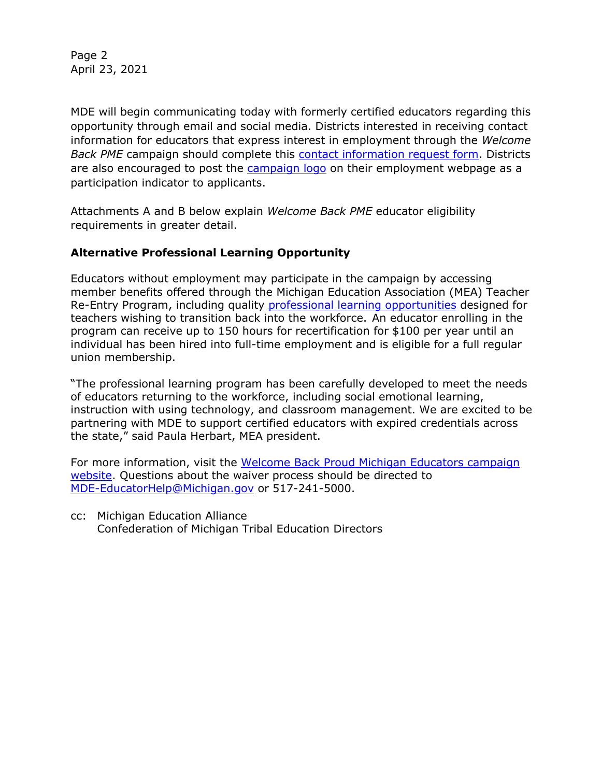Page 2 April 23, 2021

MDE will begin communicating today with formerly certified educators regarding this opportunity through email and social media. Districts interested in receiving contact information for educators that express interest in employment through the *Welcome Back PME* campaign should complete this [contact information request form.](https://mde.qualtrics.com/jfe/form/SV_bknKSYiXCXMeRJs) Districts are also encouraged to post the [campaign logo](https://www.michigan.gov/images/mde/Welcome_Back_Proud_MI_Educator_logo_722094_7.jpg) on their employment webpage as a participation indicator to applicants.

Attachments A and B below explain *Welcome Back PME* educator eligibility requirements in greater detail.

### **Alternative Professional Learning Opportunity**

Educators without employment may participate in the campaign by accessing member benefits offered through the Michigan Education Association (MEA) Teacher Re-Entry Program, including quality [professional learning opportunities](https://mea.org/professional-development/) designed for teachers wishing to transition back into the workforce. An educator enrolling in the program can receive up to 150 hours for recertification for \$100 per year until an individual has been hired into full-time employment and is eligible for a full regular union membership.

"The professional learning program has been carefully developed to meet the needs of educators returning to the workforce, including social emotional learning, instruction with using technology, and classroom management. We are excited to be partnering with MDE to support certified educators with expired credentials across the state," said Paula Herbart, MEA president.

For more information, visit the [Welcome Back Proud Michigan Educators campaign](https://www.michigan.gov/mde/0,4615,7-140-5683_14795_83462-556448--,00.html)  [website.](https://www.michigan.gov/mde/0,4615,7-140-5683_14795_83462-556448--,00.html) Questions about the waiver process should be directed to [MDE-EducatorHelp@Michigan.gov](mailto:MDE-EducatorHelp@Michigan.gov) or 517-241-5000.

cc: Michigan Education Alliance Confederation of Michigan Tribal Education Directors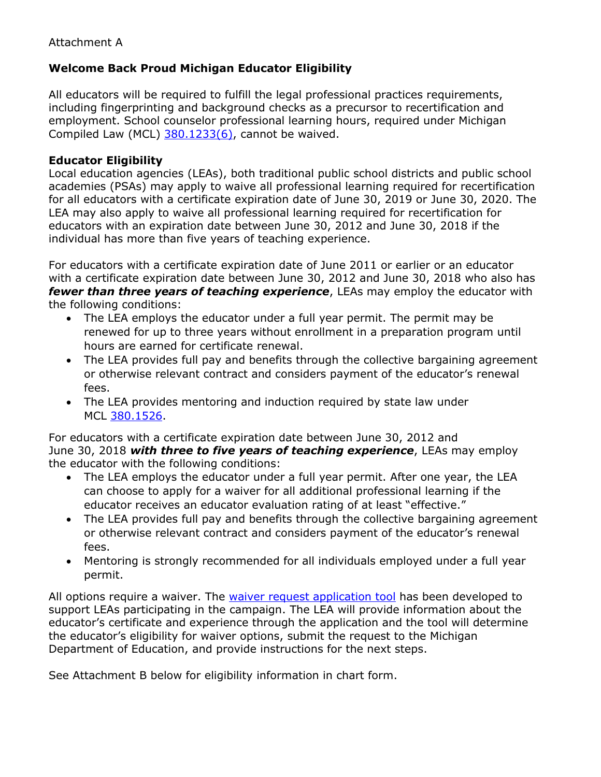# **Welcome Back Proud Michigan Educator Eligibility**

All educators will be required to fulfill the legal professional practices requirements, including fingerprinting and background checks as a precursor to recertification and employment. School counselor professional learning hours, required under Michigan Compiled Law (MCL)  $380.1233(6)$ , cannot be waived.

# **Educator Eligibility**

Local education agencies (LEAs), both traditional public school districts and public school academies (PSAs) may apply to waive all professional learning required for recertification for all educators with a certificate expiration date of June 30, 2019 or June 30, 2020. The LEA may also apply to waive all professional learning required for recertification for educators with an expiration date between June 30, 2012 and June 30, 2018 if the individual has more than five years of teaching experience.

For educators with a certificate expiration date of June 2011 or earlier or an educator with a certificate expiration date between June 30, 2012 and June 30, 2018 who also has *fewer than three years of teaching experience*, LEAs may employ the educator with the following conditions:

- The LEA employs the educator under a full year permit. The permit may be renewed for up to three years without enrollment in a preparation program until hours are earned for certificate renewal.
- The LEA provides full pay and benefits through the collective bargaining agreement or otherwise relevant contract and considers payment of the educator's renewal fees.
- The LEA provides mentoring and induction required by state law under MCL [380.1526.](http://www.legislature.mi.gov/(S(b0pzgug0rjx10u4nt0hezla4))/mileg.aspx?page=GetObject&objectname=mcl-380-1526)

For educators with a certificate expiration date between June 30, 2012 and June 30, 2018 *with three to five years of teaching experience*, LEAs may employ the educator with the following conditions:

- The LEA employs the educator under a full year permit. After one year, the LEA can choose to apply for a waiver for all additional professional learning if the educator receives an educator evaluation rating of at least "effective."
- The LEA provides full pay and benefits through the collective bargaining agreement or otherwise relevant contract and considers payment of the educator's renewal fees.
- Mentoring is strongly recommended for all individuals employed under a full year permit.

All options require a waiver. The [waiver request application tool](https://mde.qualtrics.com/jfe/form/SV_cu4MZpPmNm1KAT4) has been developed to support LEAs participating in the campaign. The LEA will provide information about the educator's certificate and experience through the application and the tool will determine the educator's eligibility for waiver options, submit the request to the Michigan Department of Education, and provide instructions for the next steps.

See Attachment B below for eligibility information in chart form.